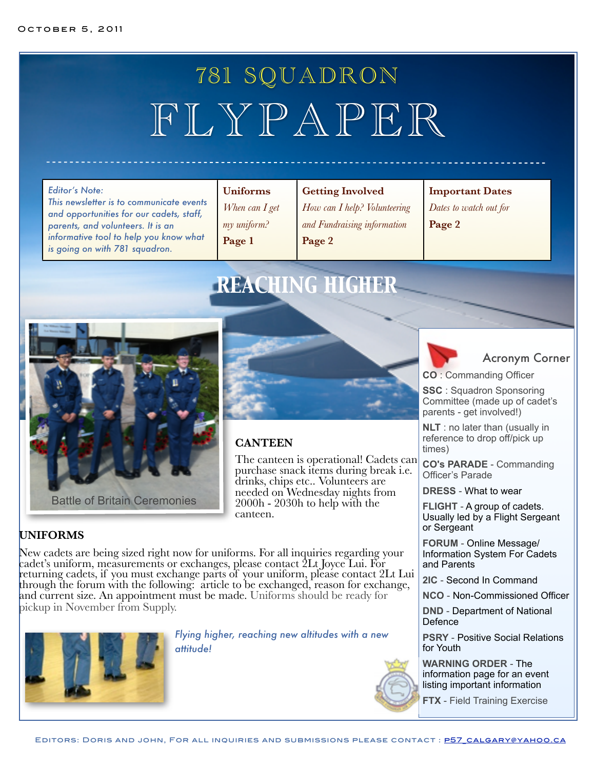# 781 SQUADRON FLYPAPER

*This newsletter is to communicate events and opportunities for our cadets, staff, parents, and volunteers. It is an informative tool to help you know what is going on with 781 squadron.*

### **Uniforms**

*When can I get my uniform?* **Page 1**

### **Getting Involved**

*How can I help? Volunteering and Fundraising information* **Page 2**

### **Important Dates**

*Dates to watch out for* **Page 2**

# *REACHING HIGHER*





### **CANTEEN**

The canteen is operational! Cadets can purchase snack items during break i.e. drinks, chips etc.. Volunteers are needed on Wednesday nights from  $2000h - 2030h$  to help with the canteen.

### **UNIFORMS**

New cadets are being sized right now for uniforms. For all inquiries regarding your cadet's uniform, measurements or exchanges, please contact 2Lt Joyce Lui. For returning cadets, if you must exchange parts of your uniform, please contact 2Lt Lui through the forum with the following: article to be exchanged, reason for exchange, and current size. An appointment must be made. Uniforms should be ready for pickup in November from Supply.



*Flying higher, reaching new altitudes with a new attitude!*



## Acronym Corner

**CO** : Commanding Officer

**SSC** : Squadron Sponsoring Committee (made up of cadet's parents - get involved!)

**NLT** : no later than (usually in reference to drop off/pick up times)

**CO's PARADE** - Commanding Officer's Parade

**DRESS** - What to wear

**FLIGHT** - A group of cadets. Usually led by a Flight Sergeant or Sergeant

**FORUM** - Online Message/ Information System For Cadets and Parents

**2IC** - Second In Command

**NCO** - Non-Commissioned Officer

**DND** - Department of National Defence

**PSRY** - Positive Social Relations for Youth

**WARNING ORDER** - The information page for an event listing important information

**FTX** - Field Training Exercise